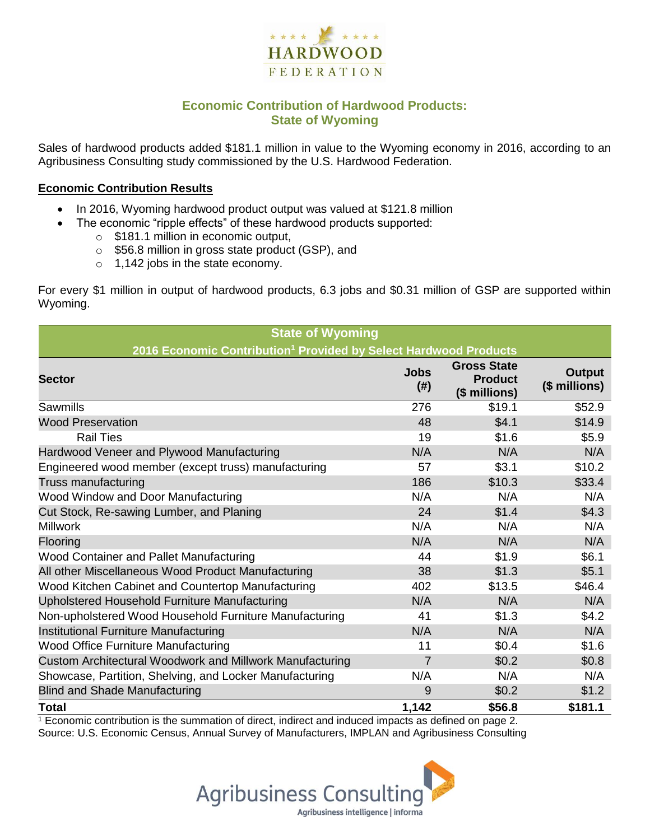

### **Economic Contribution of Hardwood Products: State of Wyoming**

Sales of hardwood products added \$181.1 million in value to the Wyoming economy in 2016, according to an Agribusiness Consulting study commissioned by the U.S. Hardwood Federation.

#### **Economic Contribution Results**

- In 2016, Wyoming hardwood product output was valued at \$121.8 million
	- The economic "ripple effects" of these hardwood products supported:
		- o \$181.1 million in economic output,
		- o \$56.8 million in gross state product (GSP), and
		- o 1,142 jobs in the state economy.

For every \$1 million in output of hardwood products, 6.3 jobs and \$0.31 million of GSP are supported within Wyoming.

| <b>State of Wyoming</b>                                                      |                     |                                                       |                                |  |  |  |
|------------------------------------------------------------------------------|---------------------|-------------------------------------------------------|--------------------------------|--|--|--|
| 2016 Economic Contribution <sup>1</sup> Provided by Select Hardwood Products |                     |                                                       |                                |  |  |  |
| <b>Sector</b>                                                                | <b>Jobs</b><br>(# ) | <b>Gross State</b><br><b>Product</b><br>(\$ millions) | <b>Output</b><br>(\$ millions) |  |  |  |
| Sawmills                                                                     | 276                 | \$19.1                                                | \$52.9                         |  |  |  |
| <b>Wood Preservation</b>                                                     | 48                  | \$4.1                                                 | \$14.9                         |  |  |  |
| <b>Rail Ties</b>                                                             | 19                  | \$1.6                                                 | \$5.9                          |  |  |  |
| Hardwood Veneer and Plywood Manufacturing                                    | N/A                 | N/A                                                   | N/A                            |  |  |  |
| Engineered wood member (except truss) manufacturing                          | 57                  | \$3.1                                                 | \$10.2                         |  |  |  |
| Truss manufacturing                                                          | 186                 | \$10.3                                                | \$33.4                         |  |  |  |
| Wood Window and Door Manufacturing                                           | N/A                 | N/A                                                   | N/A                            |  |  |  |
| Cut Stock, Re-sawing Lumber, and Planing                                     | 24                  | \$1.4                                                 | \$4.3                          |  |  |  |
| <b>Millwork</b>                                                              | N/A                 | N/A                                                   | N/A                            |  |  |  |
| Flooring                                                                     | N/A                 | N/A                                                   | N/A                            |  |  |  |
| Wood Container and Pallet Manufacturing                                      | 44                  | \$1.9                                                 | \$6.1                          |  |  |  |
| All other Miscellaneous Wood Product Manufacturing                           | 38                  | \$1.3                                                 | \$5.1                          |  |  |  |
| Wood Kitchen Cabinet and Countertop Manufacturing                            | 402                 | \$13.5                                                | \$46.4                         |  |  |  |
| Upholstered Household Furniture Manufacturing                                | N/A                 | N/A                                                   | N/A                            |  |  |  |
| Non-upholstered Wood Household Furniture Manufacturing                       | 41                  | \$1.3                                                 | \$4.2                          |  |  |  |
| Institutional Furniture Manufacturing                                        | N/A                 | N/A                                                   | N/A                            |  |  |  |
| <b>Wood Office Furniture Manufacturing</b>                                   | 11                  | \$0.4                                                 | \$1.6                          |  |  |  |
| Custom Architectural Woodwork and Millwork Manufacturing                     | $\overline{7}$      | \$0.2                                                 | \$0.8                          |  |  |  |
| Showcase, Partition, Shelving, and Locker Manufacturing                      | N/A                 | N/A                                                   | N/A                            |  |  |  |
| <b>Blind and Shade Manufacturing</b>                                         | 9                   | \$0.2                                                 | \$1.2                          |  |  |  |
| <b>Total</b>                                                                 | 1,142               | \$56.8                                                | \$181.1                        |  |  |  |

 $1$  Economic contribution is the summation of direct, indirect and induced impacts as defined on page 2. Source: U.S. Economic Census, Annual Survey of Manufacturers, IMPLAN and Agribusiness Consulting